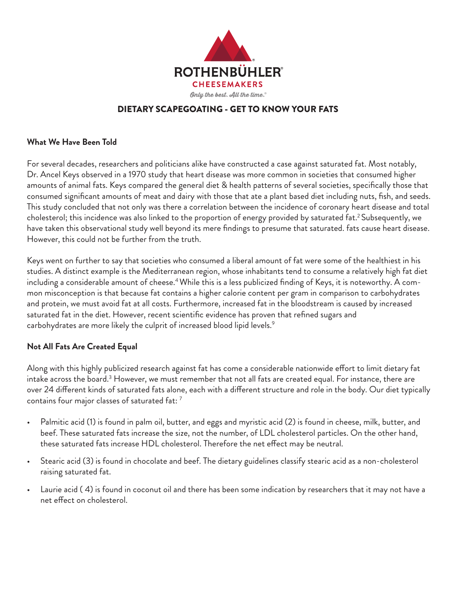

# DIETARY SCAPEGOATING - GET TO KNOW YOUR FATS

#### **What We Have Been Told**

For several decades, researchers and politicians alike have constructed a case against saturated fat. Most notably, Dr. Ancel Keys observed in a 1970 study that heart disease was more common in societies that consumed higher amounts of animal fats. Keys compared the general diet & health patterns of several societies, specifically those that consumed significant amounts of meat and dairy with those that ate a plant based diet including nuts, fish, and seeds. This study concluded that not only was there a correlation between the incidence of coronary heart disease and total cholesterol; this incidence was also linked to the proportion of energy provided by saturated fat.<sup>2</sup> Subsequently, we have taken this observational study well beyond its mere findings to presume that saturated. fats cause heart disease. However, this could not be further from the truth.

Keys went on further to say that societies who consumed a liberal amount of fat were some of the healthiest in his studies. A distinct example is the Mediterranean region, whose inhabitants tend to consume a relatively high fat diet including a considerable amount of cheese.<sup>4</sup> While this is a less publicized finding of Keys, it is noteworthy. A common misconception is that because fat contains a higher calorie content per gram in comparison to carbohydrates and protein, we must avoid fat at all costs. Furthermore, increased fat in the bloodstream is caused by increased saturated fat in the diet. However, recent scientific evidence has proven that refined sugars and carbohydrates are more likely the culprit of increased blood lipid levels.<sup>9</sup>

#### **Not All Fats Are Created Equal**

Along with this highly publicized research against fat has come a considerable nationwide effort to limit dietary fat intake across the board. $^3$  However, we must remember that not all fats are created equal. For instance, there are over 24 different kinds of saturated fats alone, each with a different structure and role in the body. Our diet typically contains four major classes of saturated fat: 7

- Palmitic acid (1) is found in palm oil, butter, and eggs and myristic acid (2) is found in cheese, milk, butter, and beef. These saturated fats increase the size, not the number, of LDL cholesterol particles. On the other hand, these saturated fats increase HDL cholesterol. Therefore the net effect may be neutral.
- Stearic acid (3) is found in chocolate and beef. The dietary guidelines classify stearic acid as a non-cholesterol raising saturated fat.
- Laurie acid ( 4) is found in coconut oil and there has been some indication by researchers that it may not have a net effect on cholesterol.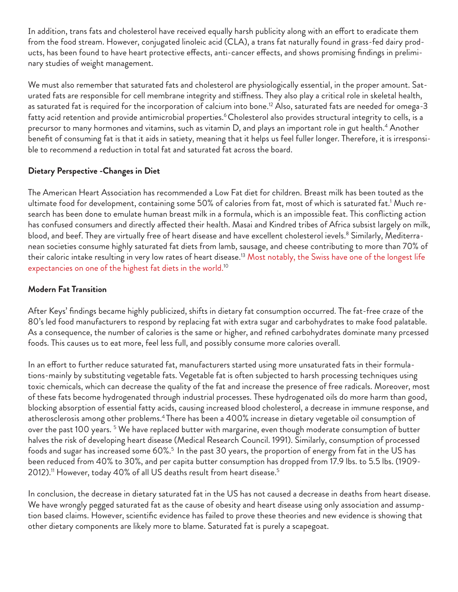In addition, trans fats and cholesterol have received equally harsh publicity along with an effort to eradicate them from the food stream. However, conjugated linoleic acid (CLA), a trans fat naturally found in grass-fed dairy products, has been found to have heart protective effects, anti-cancer effects, and shows promising findings in preliminary studies of weight management.

We must also remember that saturated fats and cholesterol are physiologically essential, in the proper amount. Saturated fats are responsible for cell membrane integrity and stiffness. They also play a critical role in skeletal health, as saturated fat is required for the incorporation of calcium into bone.<sup>12</sup> Also, saturated fats are needed for omega-3 fatty acid retention and provide antimicrobial properties.<sup>6</sup> Cholesterol also provides structural integrity to cells, is a precursor to many hormones and vitamins, such as vitamin D, and plays an important role in gut health.<sup>4</sup> Another benefit of consuming fat is that it aids in satiety, meaning that it helps us feel fuller longer. Therefore, it is irresponsible to recommend a reduction in total fat and saturated fat across the board.

# **Dietary Perspective -Changes in Diet**

The American Heart Association has recommended a Low Fat diet for children. Breast milk has been touted as the ultimate food for development, containing some 50% of calories from fat, most of which is saturated fat.<sup>1</sup> Much research has been done to emulate human breast milk in a formula, which is an impossible feat. This conflicting action has confused consumers and directly affected their health. Masai and Kindred tribes of Africa subsist largely on milk, blood, and beef. They are virtually free of heart disease and have excellent cholesterol ievels.<sup>8</sup> Similarly, Mediterranean societies consume highly saturated fat diets from lamb, sausage, and cheese contributing to more than 70% of their caloric intake resulting in very low rates of heart disease.<sup>13</sup> Most notably, the Swiss have one of the longest life expectancies on one of the highest fat diets in the world.<sup>10</sup>

## **Modern Fat Transition**

After Keys' findings became highly publicized, shifts in dietary fat consumption occurred. The fat-free craze of the 80's led food manufacturers to respond by replacing fat with extra sugar and carbohydrates to make food palatable. As a consequence, the number of calories is the same or higher, and refined carbohydrates dominate many prcessed foods. This causes us to eat more, feel less full, and possibly consume more calories overall.

In an effort to further reduce saturated fat, manufacturers started using more unsaturated fats in their formulations-mainly by substituting vegetable fats. Vegetable fat is often subjected to harsh processing techniques using toxic chemicals, which can decrease the quality of the fat and increase the presence of free radicals. Moreover, most of these fats become hydrogenated through industrial processes. These hydrogenated oils do more harm than good, blocking absorption of essential fatty acids, causing increased blood cholesterol, a decrease in immune response, and atherosclerosis among other problems.4 There has been a 400% increase in dietary vegetable oil consumption of over the past 100 years. <sup>5</sup> We have replaced butter with margarine, even though moderate consumption of butter halves the risk of developing heart disease (Medical Research Council. 1991). Similarly, consumption of processed foods and sugar has increased some 60%.<sup>5</sup> In the past 30 years, the proportion of energy from fat in the US has been reduced from 40% to 30%, and per capita butter consumption has dropped from 17.9 lbs. to 5.5 lbs. (1909- 2012).<sup>11</sup> However, today 40% of all US deaths result from heart disease.<sup>5</sup>

In conclusion, the decrease in dietary saturated fat in the US has not caused a decrease in deaths from heart disease. We have wrongly pegged saturated fat as the cause of obesity and heart disease using only association and assumption based claims. However, scientific evidence has failed to prove these theories and new evidence is showing that other dietary components are likely more to blame. Saturated fat is purely a scapegoat.